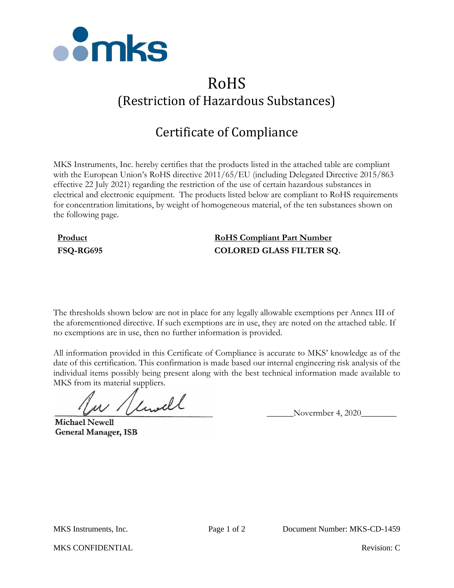

# RoHS (Restriction of Hazardous Substances)

## Certificate of Compliance

MKS Instruments, Inc. hereby certifies that the products listed in the attached table are compliant with the European Union's RoHS directive 2011/65/EU (including Delegated Directive 2015/863 effective 22 July 2021) regarding the restriction of the use of certain hazardous substances in electrical and electronic equipment. The products listed below are compliant to RoHS requirements for concentration limitations, by weight of homogeneous material, of the ten substances shown on the following page.

### **Product RoHS Compliant Part Number FSQ-RG695 COLORED GLASS FILTER SQ.**

The thresholds shown below are not in place for any legally allowable exemptions per Annex III of the aforementioned directive. If such exemptions are in use, they are noted on the attached table. If no exemptions are in use, then no further information is provided.

All information provided in this Certificate of Compliance is accurate to MKS' knowledge as of the date of this certification. This confirmation is made based our internal engineering risk analysis of the individual items possibly being present along with the best technical information made available to MKS from its material suppliers.

 $\mu$  / limitle Novermber 4, 2020

**Michael Newell General Manager, ISB** 

MKS CONFIDENTIAL **Revision:** C